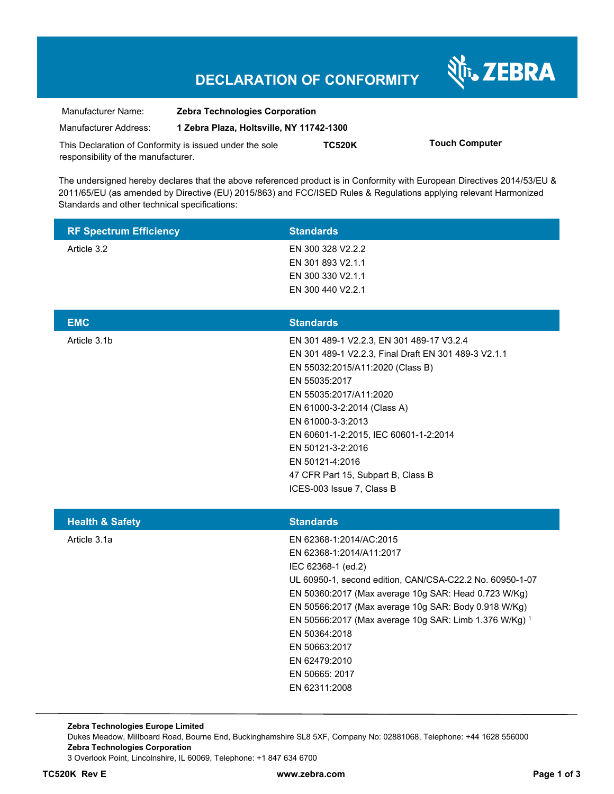## **DECLARATION OF CONFORMITY**

Nr. ZEBRA

| Manufacturer Name:                                      | <b>Zebra Technologies Corporation</b>    |               |                       |
|---------------------------------------------------------|------------------------------------------|---------------|-----------------------|
| Manufacturer Address:                                   | 1 Zebra Plaza, Holtsville, NY 11742-1300 |               |                       |
| This Declaration of Conformity is issued under the sole |                                          | <b>TC520K</b> | <b>Touch Computer</b> |
| responsibility of the manufacturer.                     |                                          |               |                       |

The undersigned hereby declares that the above referenced product is in Conformity with European Directives 2014/53/EU & 2011/65/EU (as amended by Directive (EU) 2015/863) and FCC/ISED Rules & Regulations applying relevant Harmonized Standards and other technical specifications:

| <b>RF Spectrum Efficiency</b> | <b>Standards</b>                                                                                                                                                                                                                                                                                                                                                                                      |
|-------------------------------|-------------------------------------------------------------------------------------------------------------------------------------------------------------------------------------------------------------------------------------------------------------------------------------------------------------------------------------------------------------------------------------------------------|
| Article 3.2                   | EN 300 328 V2.2.2<br>EN 301 893 V2.1.1<br>EN 300 330 V2.1.1<br>EN 300 440 V2.2.1                                                                                                                                                                                                                                                                                                                      |
| <b>EMC</b>                    | <b>Standards</b>                                                                                                                                                                                                                                                                                                                                                                                      |
| Article 3.1b                  | EN 301 489-1 V2.2.3, EN 301 489-17 V3.2.4<br>EN 301 489-1 V2.2.3, Final Draft EN 301 489-3 V2.1.1<br>EN 55032:2015/A11:2020 (Class B)<br>EN 55035:2017<br>EN 55035:2017/A11:2020<br>EN 61000-3-2:2014 (Class A)<br>EN 61000-3-3:2013<br>EN 60601-1-2:2015, IEC 60601-1-2:2014<br>EN 50121-3-2:2016<br>EN 50121-4:2016<br>47 CFR Part 15, Subpart B, Class B<br>ICES-003 Issue 7, Class B              |
| <b>Health &amp; Safety</b>    | <b>Standards</b>                                                                                                                                                                                                                                                                                                                                                                                      |
| Article 3.1a                  | EN 62368-1:2014/AC:2015<br>EN 62368-1:2014/A11:2017<br>IEC 62368-1 (ed.2)<br>UL 60950-1, second edition, CAN/CSA-C22.2 No. 60950-1-07<br>EN 50360:2017 (Max average 10g SAR: Head 0.723 W/Kg)<br>EN 50566:2017 (Max average 10g SAR: Body 0.918 W/Kg)<br>EN 50566:2017 (Max average 10g SAR: Limb 1.376 W/Kg) 1<br>EN 50364:2018<br>EN 50663:2017<br>EN 62479:2010<br>EN 50665: 2017<br>EN 62311:2008 |

**Zebra Technologies Europe Limited**  Dukes Meadow, Millboard Road, Bourne End, Buckinghamshire SL8 5XF, Company No: 02881068, Telephone: +44 1628 556000 **Zebra Technologies Corporation**  3 Overlook Point, Lincolnshire, IL 60069, Telephone: +1 847 634 6700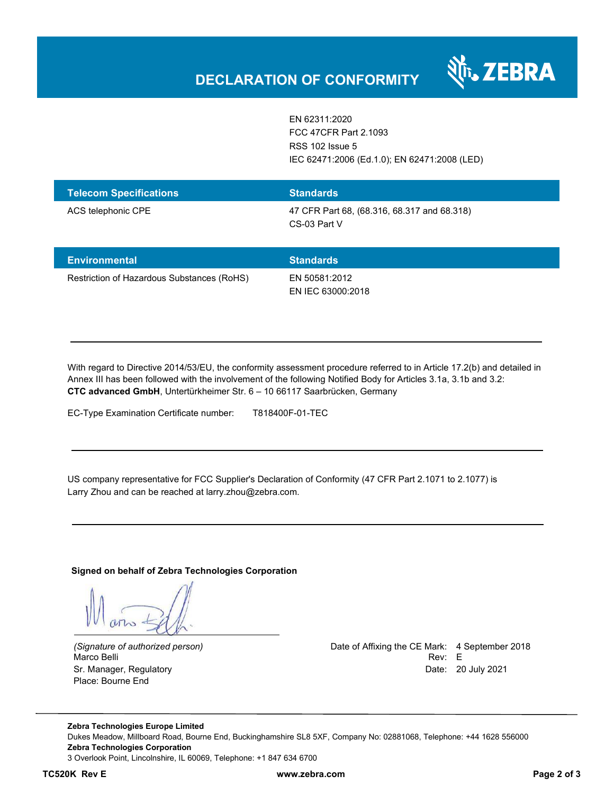

EN 62311:2020 FCC 47CFR Part 2.1093 RSS 102 Issue 5 IEC 62471:2006 (Ed.1.0); EN 62471:2008 (LED)

| <b>Telecom Specifications</b> | <b>Standards</b>                                            |
|-------------------------------|-------------------------------------------------------------|
| ACS telephonic CPE            | 47 CFR Part 68, (68.316, 68.317 and 68.318)<br>CS-03 Part V |

| <b>Environmental</b>                       | <b>Standards</b>                   |
|--------------------------------------------|------------------------------------|
| Restriction of Hazardous Substances (RoHS) | EN 50581:2012<br>EN IEC 63000:2018 |

With regard to Directive 2014/53/EU, the conformity assessment procedure referred to in Article 17.2(b) and detailed in Annex III has been followed with the involvement of the following Notified Body for Articles 3.1a, 3.1b and 3.2: **CTC advanced GmbH**, Untertürkheimer Str. 6 – 10 66117 Saarbrücken, Germany

EC-Type Examination Certificate number: T818400F-01-TEC

US company representative for FCC Supplier's Declaration of Conformity (47 CFR Part 2.1071 to 2.1077) is Larry Zhou and can be reached at larry.zhou@zebra.com.

**Signed on behalf of Zebra Technologies Corporation** 

Place: Bourne End

*(Signature of authorized person)* Date of Affixing the CE Mark: 4 September 2018 Marco Belli Rev: E Sr. Manager, Regulatory **Date: 20 July 2021** 

**Zebra Technologies Europe Limited**  Dukes Meadow, Millboard Road, Bourne End, Buckinghamshire SL8 5XF, Company No: 02881068, Telephone: +44 1628 556000 **Zebra Technologies Corporation**  3 Overlook Point, Lincolnshire, IL 60069, Telephone: +1 847 634 6700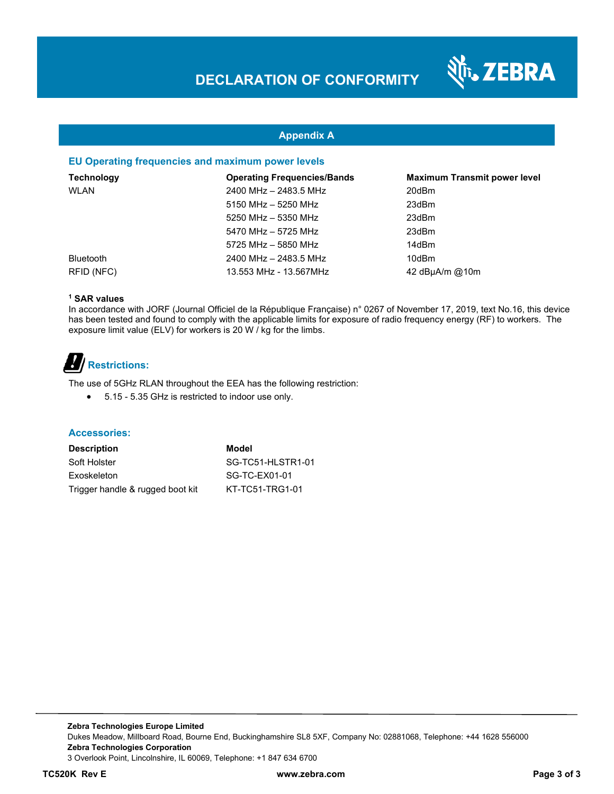

### **Appendix A**

### **EU Operating frequencies and maximum power levels**

| <b>Technology</b> | <b>Operating Frequencies/Bands</b> | <b>Maximum Transmit power level</b> |
|-------------------|------------------------------------|-------------------------------------|
| WLAN              | 2400 MHz - 2483.5 MHz              | 20dBm                               |
|                   | 5150 MHz - 5250 MHz                | 23dBm                               |
|                   | 5250 MHz - 5350 MHz                | 23dBm                               |
|                   | 5470 MHz - 5725 MHz                | 23dBm                               |
|                   | 5725 MHz - 5850 MHz                | 14dBm                               |
| <b>Bluetooth</b>  | 2400 MHz - 2483.5 MHz              | 10dBm                               |
| RFID (NFC)        | 13.553 MHz - 13.567MHz             | $42$ dBµA/m @10m                    |

### **1 SAR values**

In accordance with JORF (Journal Officiel de la République Française) n° 0267 of November 17, 2019, text No.16, this device has been tested and found to comply with the applicable limits for exposure of radio frequency energy (RF) to workers. The exposure limit value (ELV) for workers is 20 W / kg for the limbs.

# **Restrictions:**

The use of 5GHz RLAN throughout the EEA has the following restriction:

5.15 - 5.35 GHz is restricted to indoor use only.

#### **Accessories:**

| <b>Description</b>               |  |
|----------------------------------|--|
| Soft Holster                     |  |
| Exoskeleton                      |  |
| Trigger handle & rugged boot kit |  |

**Model** SG-TC51-HLSTR1-01 SG-TC-EX01-01 KT-TC51-TRG1-01